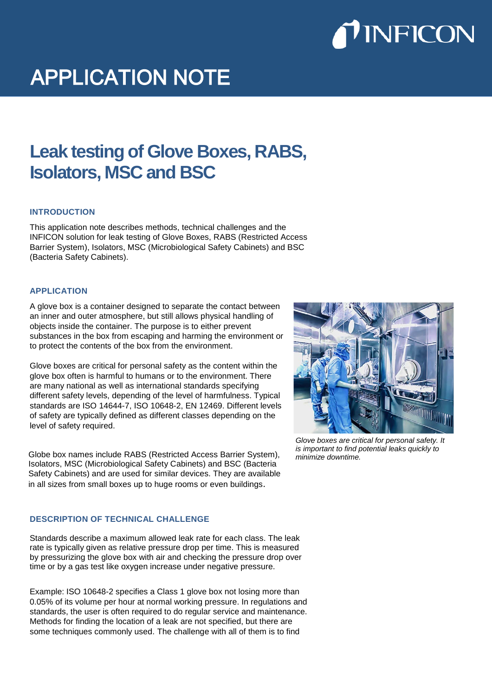

# **APPLICATION NOTE**

# **Leak testing of Glove Boxes, RABS, Isolators, MSC and BSC**

### **INTRODUCTION**

This application note describes methods, technical challenges and the INFICON solution for leak testing of Glove Boxes, RABS (Restricted Access Barrier System), Isolators, MSC (Microbiological Safety Cabinets) and BSC (Bacteria Safety Cabinets).

#### **APPLICATION**

A glove box is a container designed to separate the contact between an inner and outer atmosphere, but still allows physical handling of objects inside the container. The purpose is to either prevent substances in the box from escaping and harming the environment or to protect the contents of the box from the environment.

Glove boxes are critical for personal safety as the content within the glove box often is harmful to humans or to the environment. There are many national as well as international standards specifying different safety levels, depending of the level of harmfulness. Typical standards are ISO 14644-7, ISO 10648-2, EN 12469. Different levels of safety are typically defined as different classes depending on the level of safety required.

Globe box names include RABS (Restricted Access Barrier System), Isolators, MSC (Microbiological Safety Cabinets) and BSC (Bacteria Safety Cabinets) and are used for similar devices. They are available in all sizes from small boxes up to huge rooms or even buildings.

#### **DESCRIPTION OF TECHNICAL CHALLENGE**

Standards describe a maximum allowed leak rate for each class. The leak rate is typically given as relative pressure drop per time. This is measured by pressurizing the glove box with air and checking the pressure drop over time or by a gas test like oxygen increase under negative pressure.

Example: ISO 10648-2 specifies a Class 1 glove box not losing more than 0.05% of its volume per hour at normal working pressure. In regulations and standards, the user is often required to do regular service and maintenance. Methods for finding the location of a leak are not specified, but there are some techniques commonly used. The challenge with all of them is to find



*Glove boxes are critical for personal safety. It is important to find potential leaks quickly to minimize downtime.*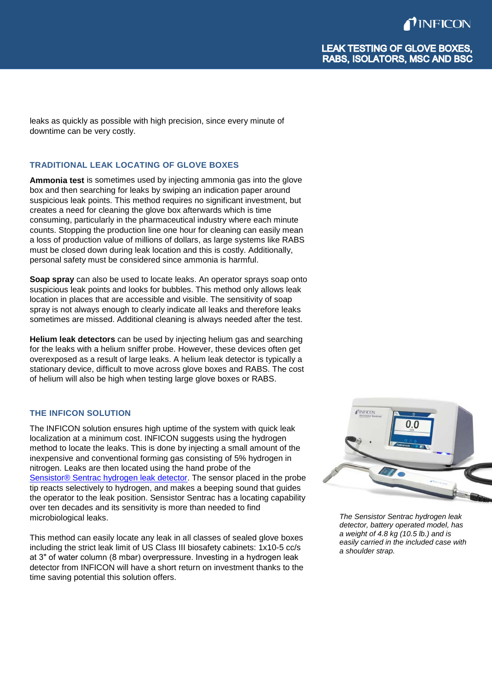leaks as quickly as possible with high precision, since every minute of downtime can be very costly.

# **TRADITIONAL LEAK LOCATING OF GLOVE BOXES**

**Ammonia test** is sometimes used by injecting ammonia gas into the glove box and then searching for leaks by swiping an indication paper around suspicious leak points. This method requires no significant investment, but creates a need for cleaning the glove box afterwards which is time consuming, particularly in the pharmaceutical industry where each minute counts. Stopping the production line one hour for cleaning can easily mean a loss of production value of millions of dollars, as large systems like RABS must be closed down during leak location and this is costly. Additionally, personal safety must be considered since ammonia is harmful.

**Soap spray** can also be used to locate leaks. An operator sprays soap onto suspicious leak points and looks for bubbles. This method only allows leak location in places that are accessible and visible. The sensitivity of soap spray is not always enough to clearly indicate all leaks and therefore leaks sometimes are missed. Additional cleaning is always needed after the test.

**Helium leak detectors** can be used by injecting helium gas and searching for the leaks with a helium sniffer probe. However, these devices often get overexposed as a result of large leaks. A helium leak detector is typically a stationary device, difficult to move across glove boxes and RABS. The cost of helium will also be high when testing large glove boxes or RABS.

# **THE INFICON SOLUTION**

The INFICON solution ensures high uptime of the system with quick leak localization at a minimum cost. INFICON suggests using the hydrogen method to locate the leaks. This is done by injecting a small amount of the inexpensive and conventional forming gas consisting of 5% hydrogen in nitrogen. Leaks are then located using the hand probe of the [Sensistor® Sentrac hydrogen leak detector.](https://www.inficon.com/en/products/hydrogen-leak-detector-sensistor-sentrac) The sensor placed in the probe tip reacts selectively to hydrogen, and makes a beeping sound that guides the operator to the leak position. Sensistor Sentrac has a locating capability over ten decades and its sensitivity is more than needed to find microbiological leaks.

This method can easily locate any leak in all classes of sealed glove boxes including the strict leak limit of US Class III biosafety cabinets: 1x10-5 cc/s at 3" of water column (8 mbar) overpressure. Investing in a hydrogen leak detector from INFICON will have a short return on investment thanks to the time saving potential this solution offers.



*The Sensistor Sentrac hydrogen leak detector, battery operated model, has a weight of 4.8 kg (10.5 lb.) and is easily carried in the included case with a shoulder strap.*